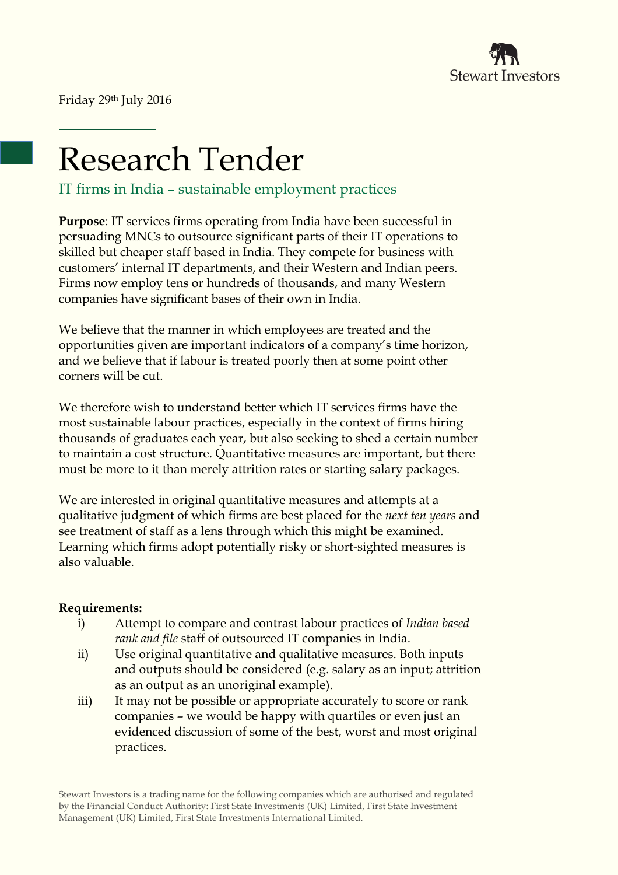

Friday 29th July 2016

# Research Tender

IT firms in India – sustainable employment practices

**Purpose**: IT services firms operating from India have been successful in persuading MNCs to outsource significant parts of their IT operations to skilled but cheaper staff based in India. They compete for business with customers' internal IT departments, and their Western and Indian peers. Firms now employ tens or hundreds of thousands, and many Western companies have significant bases of their own in India.

We believe that the manner in which employees are treated and the opportunities given are important indicators of a company's time horizon, and we believe that if labour is treated poorly then at some point other corners will be cut.

We therefore wish to understand better which IT services firms have the most sustainable labour practices, especially in the context of firms hiring thousands of graduates each year, but also seeking to shed a certain number to maintain a cost structure. Quantitative measures are important, but there must be more to it than merely attrition rates or starting salary packages.

We are interested in original quantitative measures and attempts at a qualitative judgment of which firms are best placed for the *next ten years* and see treatment of staff as a lens through which this might be examined. Learning which firms adopt potentially risky or short-sighted measures is also valuable.

## **Requirements:**

- i) Attempt to compare and contrast labour practices of *Indian based rank and file* staff of outsourced IT companies in India.
- ii) Use original quantitative and qualitative measures. Both inputs and outputs should be considered (e.g. salary as an input; attrition as an output as an unoriginal example).
- iii) It may not be possible or appropriate accurately to score or rank companies – we would be happy with quartiles or even just an evidenced discussion of some of the best, worst and most original practices.